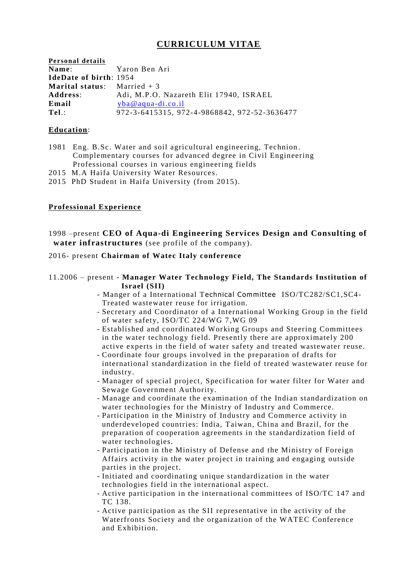# **CURRICULUM VITAE**

| Personal details                    |                                              |
|-------------------------------------|----------------------------------------------|
| Name:                               | Yaron Ben Ari                                |
| <b>IdeDate of birth: 1954</b>       |                                              |
| <b>Marital status:</b> Married $+3$ |                                              |
| Address:                            | Adi, M.P.O. Nazareth Elit 17940, ISRAEL      |
| Email                               | $vba@aqua-di.co.i1$                          |
| $Tel$ .:                            | 972-3-6415315, 972-4-9868842, 972-52-3636477 |

### **Education**:

- 1981 Eng. B.Sc. Water and soil agricultural engineering, Technion . Complementary courses for advanced degree in Civil Engineering Professional courses in various engineering fields
- 2015 M.A Haifa University Water Resources.
- 2015 PhD Student in Haifa University (from 2015).

# **Professional Experience**

1998 –present **CEO of Aqua-di Engineering Services Design and Consulting of water infrastructures** (see profile of the company).

### 2016- present **Chairman of Watec Italy conference**

# 11.2006 – present - **Manager Water Technology Field, The Standards Institution of Israel (SII)**

- Manger of a International Technical Committee ISO/TC282/SC1,SC4- Treated wastewater reuse for irrigation.
- Secretary and Coordinator of a International Working Group in the field of water safety, ISO/TC 224/WG 7,WG 09
- Established and coordinated Working Groups and Steering Committees in the water technology field. Presently there are approximately 200 active experts in the field of water safety and treated wastewater reuse.
- Coordinate four groups involved in the preparation of drafts for international standardization in the field of treated wastewater reuse for industry.
- Manager of special project, Specification for water filter for Water and Sewage Government Authority.
- Manage and coordinate the examination of the Indian standardization on water technologies for the Ministry of Industry and Commerce.
- Participation in the Ministry of Industry and Commerce activity in underdeveloped countries: India, Taiwan, China and Brazil, for the preparation of cooperation agreements in the standardization field of water technologies.
- Participation in the Ministry of Defense and the Ministry of Foreign Affairs activity in the water project in training and engaging outside parties in the project.
- Initiated and coordinating unique standardization in the water technologies field in the international aspect.
- Active participation in the international committees of ISO/TC 147 and TC 138.
- Active participation as the SII representative in the activity of the Waterfronts Society and the organization of the WATEC Conference and Exhibition.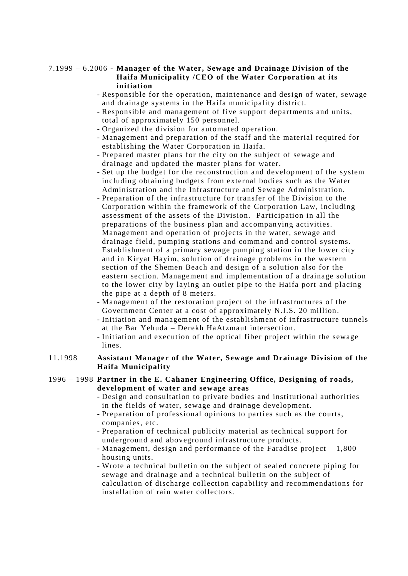### 7.1999 – 6.2006 - **Manager of the Water, Sewage and Drainage Division of the Haifa Municipality /CEO of the Water Corporation at its initiation**

- Responsible for the operation, maintenance and design of water, sewage and drainage systems in the Haifa municipality district.
- Responsible and management of five support departments and units, total of approximately 150 personnel.
- Organized the division for automated operation.
- Management and preparation of the staff and the material required for establishing the Water Corporation in Haifa.
- Prepared master plans for the city on the subject of sewage and drainage and updated the master plans for water.
- Set up the budget for the reconstruction and development of the system including obtaining budgets from external bodies such as the Water Administration and the Infrastructure and Sewage Administration.
- Preparation of the infrastructure for transfer of the Division to the Corporation within the framework of the Corporation Law, including assessment of the assets of the Division. Participation in all the preparations of the business plan and accompan ying activities. Management and operation of projects in the water, sewage and drainage field, pumping stations and command and control systems. Establishment of a primary sewage pumping station in the lower city and in Kiryat Hayim, solution of drainage problems in the western section of the Shemen Beach and design of a solution also for the eastern section. Management and implementation of a drainage solution to the lower city by laying an outlet pipe to the Haifa port and placing the pipe at a depth of 8 meters.
- Management of the restoration project of the infrastructures of the Government Center at a cost of approximately N.I.S. 20 million.
- Initiation and management of the establishment of infrastructure tunnels at the Bar Yehuda – Derekh HaAtzmaut intersection.
- Initiation and execution of the optical fiber project within the sewage lines.

### 11.1998 **Assistant Manager of the Water, Sewage and Drainage Division of the Haifa Municipality**

#### 1996 – 1998 **Partner in the E. Cahaner Engineering Office, Designing of roads, development of water and sewage areas**

- Design and consultation to private bodies and institutional authorities in the fields of water, sewage and drainage development.
- Preparation of professional opinions to parties such as the courts, companies, etc.
- Preparation of technical publicity material as technical support for underground and aboveground infrastructure products.
- Management, design and performance of the Faradise project 1,800 housing units.
- Wrote a technical bulletin on the subject of sealed concrete piping for sewage and drainage and a technical bulletin on the subject of calculation of discharge collection capability and recommendations for installation of rain water collectors.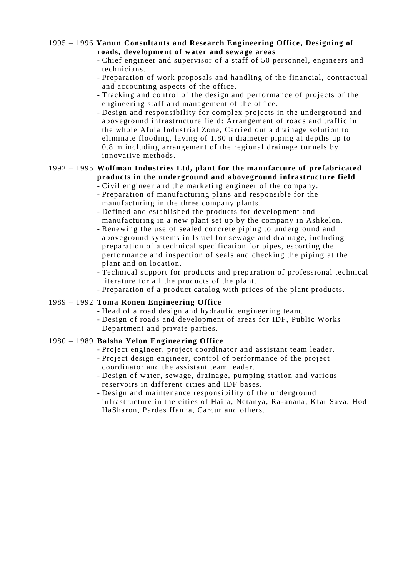### 1995 – 1996 **Yanun Consultants and Research Engineering Office , Designing of roads, development of water and sewage areas**

- Chief engineer and supervisor of a staff of 50 personnel, engineers and technicians.
- Preparation of work proposals and handling of the financial, contractual and accounting aspects of the office.
- Tracking and control of the design and performance of projects of the engineering staff and management of the office.
- Design and responsibility for complex projects in the underground and aboveground infrastructure field: Arrangement of roads and traffic in the whole Afula Industrial Zone, Carried out a drainage solution to eliminate flooding, laying of 1.80 n diameter piping at depths up to 0.8 m including arrangement of the regional drainage tunnels by innovative methods.

#### 1992 – 1995 **Wolfman Industries Ltd, plant for the manufacture of prefabricated products in the underground and aboveground infrastructure field** - Civil engineer and the marketing engineer of the company.

- Preparation of manufacturing plans and responsible for the manufacturing in the three company plants.
- Defined and established the products for development and manufacturing in a new plant set up by the company in Ashkelon.
- Renewing the use of sealed concrete piping to underground and aboveground systems in Israel for sewage and drainage, including preparation of a technical specification for pipes, escorting the performance and inspection of seals and checking the piping at the plant and on location.
- Technical support for products and preparation of professional technical literature for all the products of the plant.
- Preparation of a product catalog with prices of the plant products.

# 1989 – 1992 **Toma Ronen Engineering Office**

- Head of a road design and hydraulic engineering team.
- Design of roads and development of areas for IDF, Public Works Department and private parties.

# 1980 – 1989 **Balsha Yelon Engineering Office**

- Project engineer, project coordinator and assistant team leader.
- Project design engineer, control of performance of the project coordinator and the assistant team leader.
- Design of water, sewage, drainage, pumping station and various reservoirs in different cities and IDF bases.
- Design and maintenance responsibility of the underground infrastructure in the cities of Haifa, Netanya, Ra -anana, Kfar Sava, Hod HaSharon, Pardes Hanna, Carcur and others.